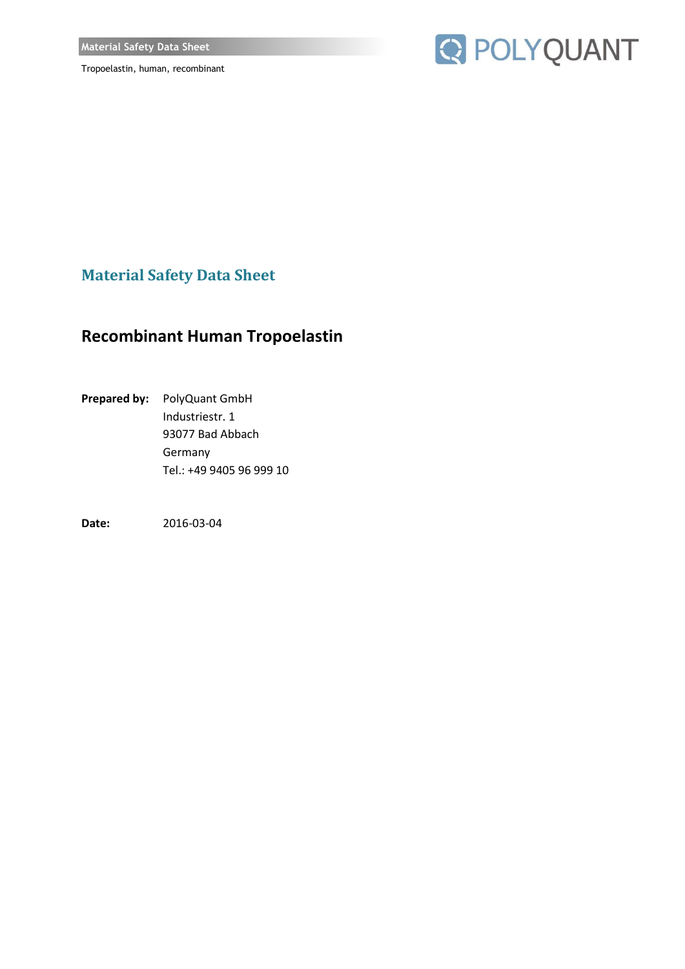

**Material Safety Data Sheet**

## **Recombinant Human Tropoelastin**

**Prepared by:** PolyQuant GmbH Industriestr. 1 93077 Bad Abbach Germany Tel.: +49 9405 96 999 10

**Date:** 2016-03-04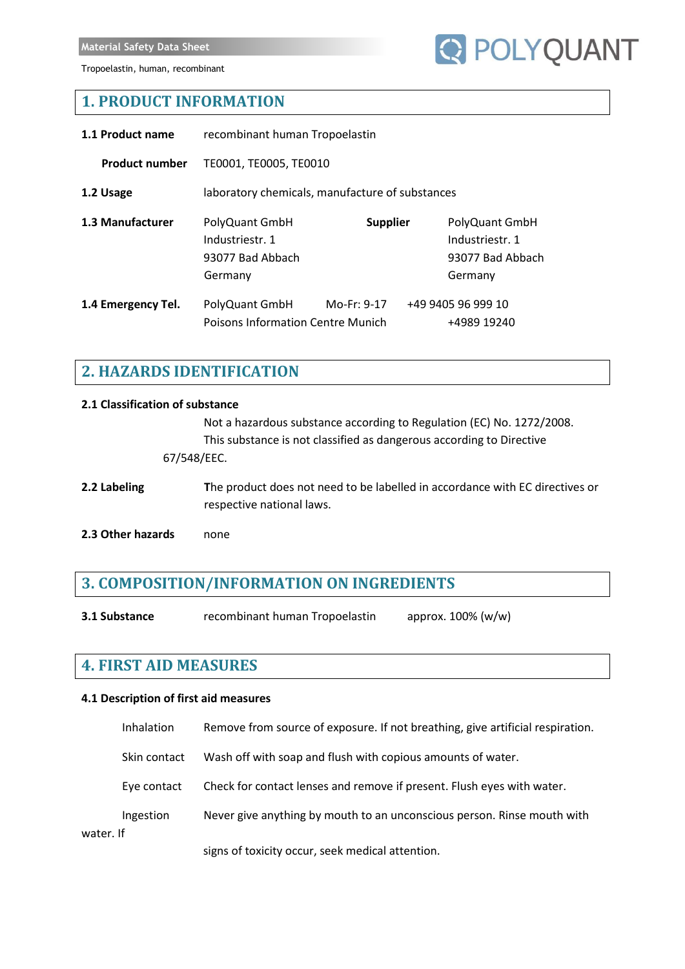

## **1. PRODUCT INFORMATION**

| 1.1 Product name      | recombinant human Tropoelastin                                   |                 |  |                                                                  |
|-----------------------|------------------------------------------------------------------|-----------------|--|------------------------------------------------------------------|
| <b>Product number</b> | TE0001, TE0005, TE0010                                           |                 |  |                                                                  |
| 1.2 Usage             | laboratory chemicals, manufacture of substances                  |                 |  |                                                                  |
| 1.3 Manufacturer      | PolyQuant GmbH<br>Industriestr. 1<br>93077 Bad Abbach<br>Germany | <b>Supplier</b> |  | PolyQuant GmbH<br>Industriestr. 1<br>93077 Bad Abbach<br>Germany |
| 1.4 Emergency Tel.    | PolyQuant GmbH<br><b>Poisons Information Centre Munich</b>       | Mo-Fr: 9-17     |  | +49 9405 96 999 10<br>+4989 19240                                |

## **2. HAZARDS IDENTIFICATION**

## **2.1 Classification of substance** Not a hazardous substance according to Regulation (EC) No. 1272/2008. This substance is not classified as dangerous according to Directive 67/548/EEC. **2.2 Labeling T**he product does not need to be labelled in accordance with EC directives or respective national laws. **2.3 Other hazards** none

## **3. COMPOSITION/INFORMATION ON INGREDIENTS**

**3.1 Substance** recombinant human Tropoelastin approx. 100% (w/w)

## **4. FIRST AID MEASURES**

#### **4.1 Description of first aid measures**

|           | Inhalation   | Remove from source of exposure. If not breathing, give artificial respiration. |
|-----------|--------------|--------------------------------------------------------------------------------|
|           | Skin contact | Wash off with soap and flush with copious amounts of water.                    |
|           | Eye contact  | Check for contact lenses and remove if present. Flush eyes with water.         |
| water. If | Ingestion    | Never give anything by mouth to an unconscious person. Rinse mouth with        |
|           |              | signs of toxicity occur, seek medical attention.                               |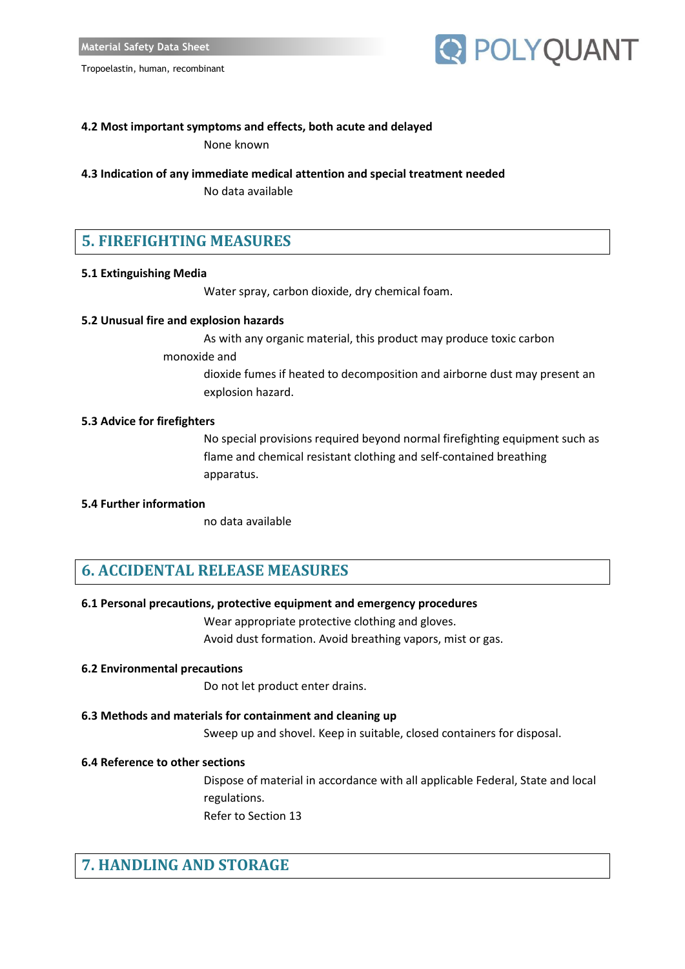## **R** POLYQUANT

#### **4.2 Most important symptoms and effects, both acute and delayed** None known

**4.3 Indication of any immediate medical attention and special treatment needed**

No data available

## **5. FIREFIGHTING MEASURES**

#### **5.1 Extinguishing Media**

Water spray, carbon dioxide, dry chemical foam.

#### **5.2 Unusual fire and explosion hazards**

As with any organic material, this product may produce toxic carbon

monoxide and

dioxide fumes if heated to decomposition and airborne dust may present an explosion hazard.

#### **5.3 Advice for firefighters**

No special provisions required beyond normal firefighting equipment such as flame and chemical resistant clothing and self-contained breathing apparatus.

#### **5.4 Further information**

no data available

#### **6. ACCIDENTAL RELEASE MEASURES**

#### **6.1 Personal precautions, protective equipment and emergency procedures**

Wear appropriate protective clothing and gloves.

Avoid dust formation. Avoid breathing vapors, mist or gas.

#### **6.2 Environmental precautions**

Do not let product enter drains.

#### **6.3 Methods and materials for containment and cleaning up**

Sweep up and shovel. Keep in suitable, closed containers for disposal.

#### **6.4 Reference to other sections**

Dispose of material in accordance with all applicable Federal, State and local regulations. Refer to Section 13

## **7. HANDLING AND STORAGE**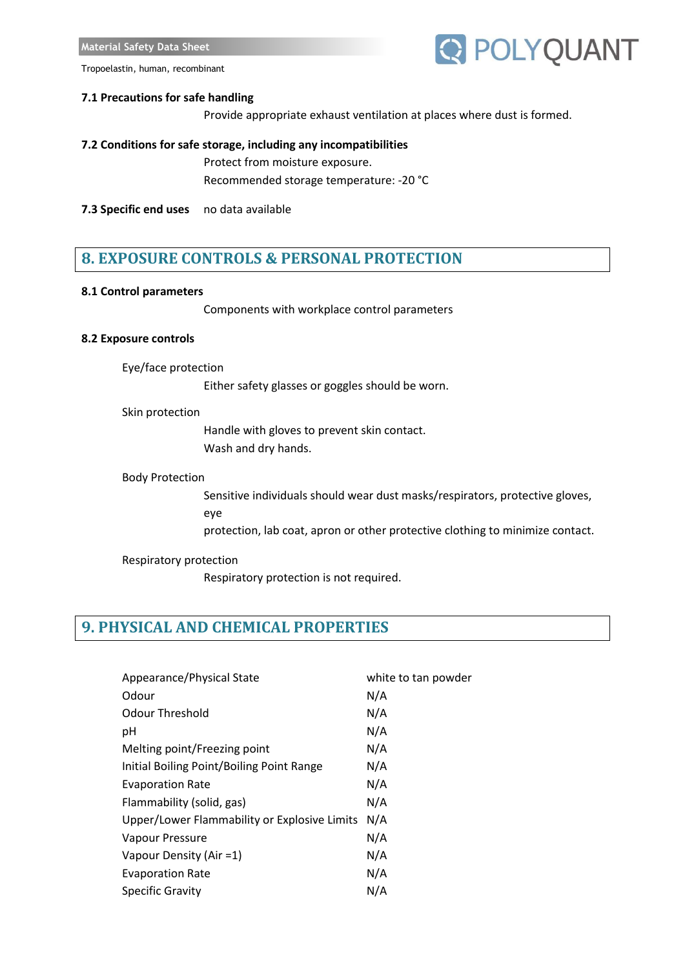#### **7.1 Precautions for safe handling**

Provide appropriate exhaust ventilation at places where dust is formed.

#### **7.2 Conditions for safe storage, including any incompatibilities**

Protect from moisture exposure. Recommended storage temperature: -20 °C

**7.3 Specific end uses** no data available

### **8. EXPOSURE CONTROLS & PERSONAL PROTECTION**

#### **8.1 Control parameters**

Components with workplace control parameters

#### **8.2 Exposure controls**

Eye/face protection

Either safety glasses or goggles should be worn.

#### Skin protection

Handle with gloves to prevent skin contact. Wash and dry hands.

#### Body Protection

Sensitive individuals should wear dust masks/respirators, protective gloves, eye

protection, lab coat, apron or other protective clothing to minimize contact.

#### Respiratory protection

Respiratory protection is not required.

## **9. PHYSICAL AND CHEMICAL PROPERTIES**

| Appearance/Physical State                    | white to tan powder |
|----------------------------------------------|---------------------|
| Odour                                        | N/A                 |
| Odour Threshold                              | N/A                 |
| рH                                           | N/A                 |
| Melting point/Freezing point                 | N/A                 |
| Initial Boiling Point/Boiling Point Range    | N/A                 |
| <b>Evaporation Rate</b>                      | N/A                 |
| Flammability (solid, gas)                    | N/A                 |
| Upper/Lower Flammability or Explosive Limits | N/A                 |
| Vapour Pressure                              | N/A                 |
| Vapour Density (Air =1)                      | N/A                 |
| <b>Evaporation Rate</b>                      | N/A                 |
| <b>Specific Gravity</b>                      | N/A                 |

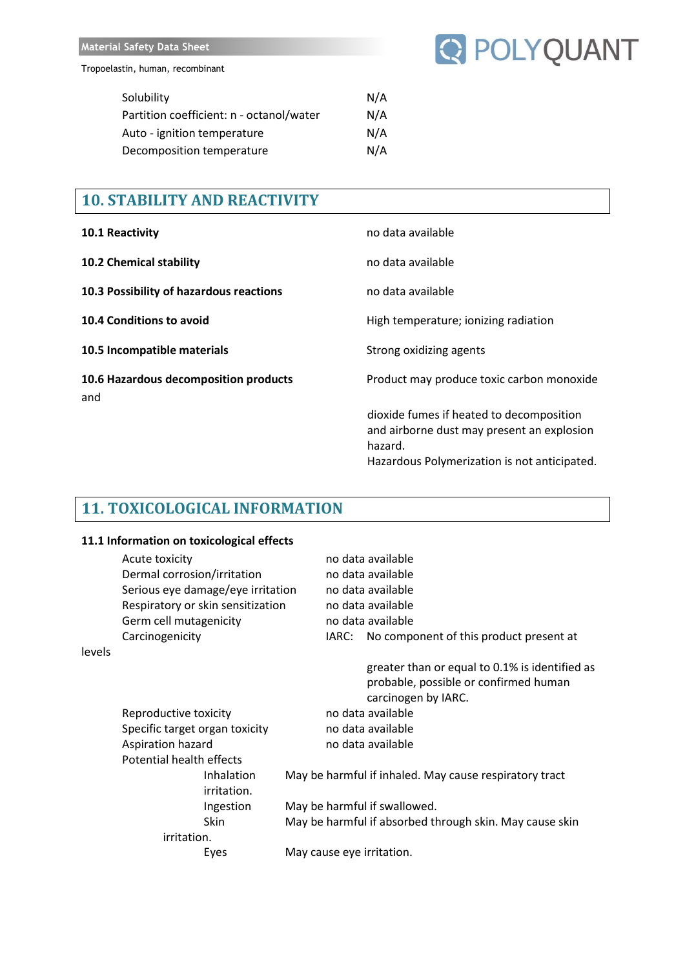

| N/A |
|-----|
| N/A |
| N/A |
| N/A |
|     |

## **10. STABILITY AND REACTIVITY**

| 10.1 Reactivity                              | no data available                                                                                                                                 |
|----------------------------------------------|---------------------------------------------------------------------------------------------------------------------------------------------------|
| <b>10.2 Chemical stability</b>               | no data available                                                                                                                                 |
| 10.3 Possibility of hazardous reactions      | no data available                                                                                                                                 |
| 10.4 Conditions to avoid                     | High temperature; ionizing radiation                                                                                                              |
| 10.5 Incompatible materials                  | Strong oxidizing agents                                                                                                                           |
| 10.6 Hazardous decomposition products<br>and | Product may produce toxic carbon monoxide                                                                                                         |
|                                              | dioxide fumes if heated to decomposition<br>and airborne dust may present an explosion<br>hazard.<br>Hazardous Polymerization is not anticipated. |

## **11. TOXICOLOGICAL INFORMATION**

#### **11.1 Information on toxicological effects**

|        | Acute toxicity                    |                   | no data available                                                                                              |  |
|--------|-----------------------------------|-------------------|----------------------------------------------------------------------------------------------------------------|--|
|        | Dermal corrosion/irritation       |                   | no data available                                                                                              |  |
|        | Serious eye damage/eye irritation |                   | no data available                                                                                              |  |
|        | Respiratory or skin sensitization |                   | no data available                                                                                              |  |
|        | Germ cell mutagenicity            | no data available |                                                                                                                |  |
|        | Carcinogenicity                   |                   | IARC: No component of this product present at                                                                  |  |
| levels |                                   |                   |                                                                                                                |  |
|        |                                   |                   | greater than or equal to 0.1% is identified as<br>probable, possible or confirmed human<br>carcinogen by IARC. |  |
|        | Reproductive toxicity             |                   | no data available                                                                                              |  |
|        | Specific target organ toxicity    |                   | no data available                                                                                              |  |
|        | Aspiration hazard                 |                   | no data available                                                                                              |  |
|        | Potential health effects          |                   |                                                                                                                |  |
|        | Inhalation<br>irritation.         |                   | May be harmful if inhaled. May cause respiratory tract                                                         |  |
|        | Ingestion                         |                   | May be harmful if swallowed.                                                                                   |  |
|        | Skin                              |                   | May be harmful if absorbed through skin. May cause skin                                                        |  |
|        | irritation.                       |                   |                                                                                                                |  |
|        | Eyes                              |                   | May cause eye irritation.                                                                                      |  |
|        |                                   |                   |                                                                                                                |  |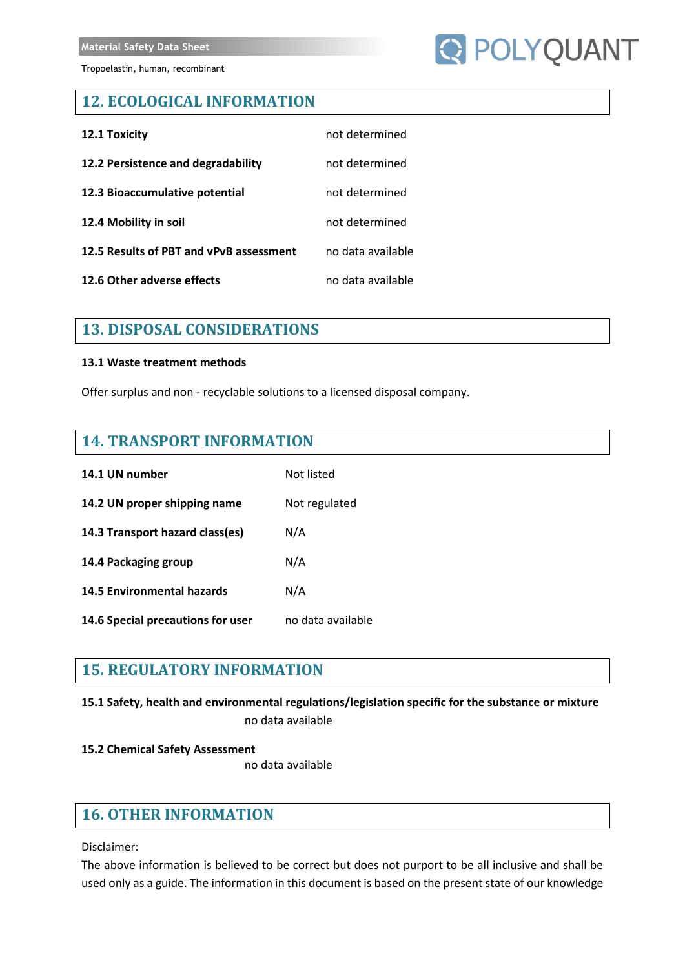# **Q POLYQUANT**

## **12. ECOLOGICAL INFORMATION**

| 12.1 Toxicity                           | not determined    |
|-----------------------------------------|-------------------|
| 12.2 Persistence and degradability      | not determined    |
| 12.3 Bioaccumulative potential          | not determined    |
| 12.4 Mobility in soil                   | not determined    |
| 12.5 Results of PBT and vPvB assessment | no data available |
| 12.6 Other adverse effects              | no data available |

## **13. DISPOSAL CONSIDERATIONS**

#### **13.1 Waste treatment methods**

Offer surplus and non - recyclable solutions to a licensed disposal company.

## **14. TRANSPORT INFORMATION**

| 14.1 UN number                    | Not listed        |
|-----------------------------------|-------------------|
| 14.2 UN proper shipping name      | Not regulated     |
| 14.3 Transport hazard class(es)   | N/A               |
| 14.4 Packaging group              | N/A               |
| <b>14.5 Environmental hazards</b> | N/A               |
| 14.6 Special precautions for user | no data available |

## **15. REGULATORY INFORMATION**

**15.1 Safety, health and environmental regulations/legislation specific for the substance or mixture**

no data available

#### **15.2 Chemical Safety Assessment**

no data available

## **16. OTHER INFORMATION**

Disclaimer:

The above information is believed to be correct but does not purport to be all inclusive and shall be used only as a guide. The information in this document is based on the present state of our knowledge